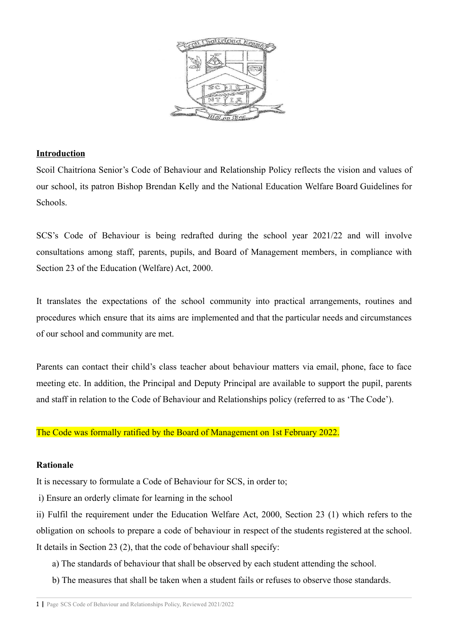

## **Introduction**

Scoil Chaitríona Senior's Code of Behaviour and Relationship Policy reflects the vision and values of our school, its patron Bishop Brendan Kelly and the National Education Welfare Board Guidelines for Schools.

SCS's Code of Behaviour is being redrafted during the school year 2021/22 and will involve consultations among staff, parents, pupils, and Board of Management members, in compliance with Section 23 of the Education (Welfare) Act, 2000.

It translates the expectations of the school community into practical arrangements, routines and procedures which ensure that its aims are implemented and that the particular needs and circumstances of our school and community are met.

Parents can contact their child's class teacher about behaviour matters via email, phone, face to face meeting etc. In addition, the Principal and Deputy Principal are available to support the pupil, parents and staff in relation to the Code of Behaviour and Relationships policy (referred to as 'The Code').

The Code was formally ratified by the Board of Management on 1st February 2022.

## **Rationale**

It is necessary to formulate a Code of Behaviour for SCS, in order to;

i) Ensure an orderly climate for learning in the school

ii) Fulfil the requirement under the Education Welfare Act, 2000, Section 23 (1) which refers to the obligation on schools to prepare a code of behaviour in respect of the students registered at the school. It details in Section 23 (2), that the code of behaviour shall specify:

a) The standards of behaviour that shall be observed by each student attending the school.

b) The measures that shall be taken when a student fails or refuses to observe those standards.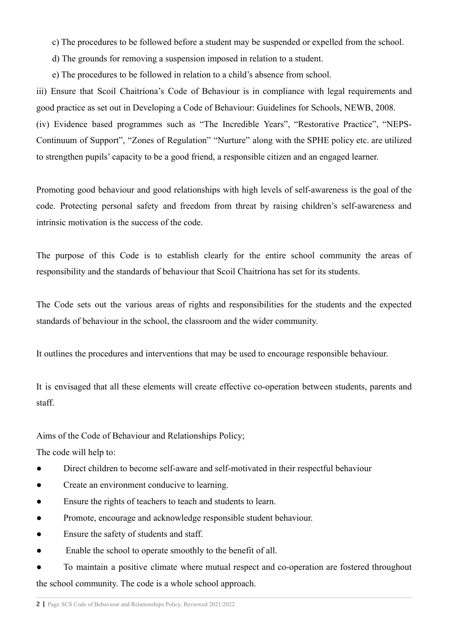c) The procedures to be followed before a student may be suspended or expelled from the school.

d) The grounds for removing a suspension imposed in relation to a student.

e) The procedures to be followed in relation to a child's absence from school.

iii) Ensure that Scoil Chaitríona's Code of Behaviour is in compliance with legal requirements and good practice as set out in Developing a Code of Behaviour: Guidelines for Schools, NEWB, 2008. (iv) Evidence based programmes such as "The Incredible Years", "Restorative Practice", "NEPS-Continuum of Support", "Zones of Regulation" "Nurture" along with the SPHE policy etc. are utilized to strengthen pupils' capacity to be a good friend, a responsible citizen and an engaged learner.

Promoting good behaviour and good relationships with high levels of self-awareness is the goal of the code. Protecting personal safety and freedom from threat by raising children's self-awareness and intrinsic motivation is the success of the code.

The purpose of this Code is to establish clearly for the entire school community the areas of responsibility and the standards of behaviour that Scoil Chaitríona has set for its students.

The Code sets out the various areas of rights and responsibilities for the students and the expected standards of behaviour in the school, the classroom and the wider community.

It outlines the procedures and interventions that may be used to encourage responsible behaviour.

It is envisaged that all these elements will create effective co-operation between students, parents and staff.

## Aims of the Code of Behaviour and Relationships Policy;

The code will help to:

- Direct children to become self-aware and self-motivated in their respectful behaviour
- Create an environment conducive to learning.
- Ensure the rights of teachers to teach and students to learn.
- Promote, encourage and acknowledge responsible student behaviour.
- Ensure the safety of students and staff.
- Enable the school to operate smoothly to the benefit of all.

● To maintain a positive climate where mutual respect and co-operation are fostered throughout the school community. The code is a whole school approach.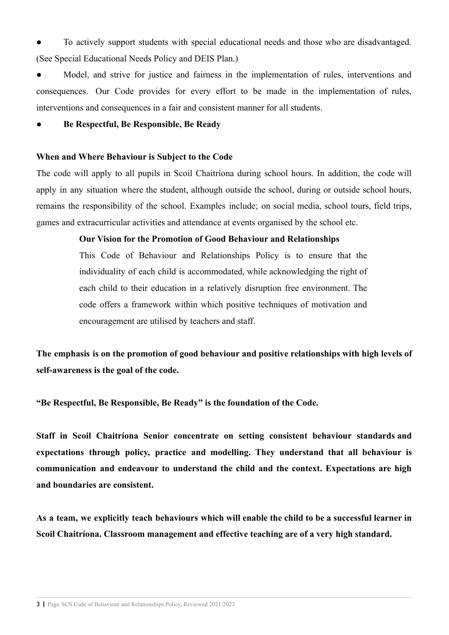To actively support students with special educational needs and those who are disadvantaged. (See Special Educational Needs Policy and DEIS Plan.)

● Model, and strive for justice and fairness in the implementation of rules, interventions and consequences. Our Code provides for every effort to be made in the implementation of rules, interventions and consequences in a fair and consistent manner for all students.

#### **● Be Respectful, Be Responsible, Be Ready**

#### **When and Where Behaviour is Subject to the Code**

The code will apply to all pupils in Scoil Chaitríona during school hours. In addition, the code will apply in any situation where the student, although outside the school, during or outside school hours, remains the responsibility of the school. Examples include; on social media, school tours, field trips, games and extracurricular activities and attendance at events organised by the school etc.

## **Our Vision for the Promotion of Good Behaviour and Relationships**

This Code of Behaviour and Relationships Policy is to ensure that the individuality of each child is accommodated, while acknowledging the right of each child to their education in a relatively disruption free environment. The code offers a framework within which positive techniques of motivation and encouragement are utilised by teachers and staff.

**The emphasis is on the promotion of good behaviour and positive relationships with high levels of self-awareness is the goal of the code.**

**"Be Respectful, Be Responsible, Be Ready" is the foundation of the Code.**

**Staff in Scoil Chaitríona Senior concentrate on setting consistent behaviour standards and expectations through policy, practice and modelling. They understand that all behaviour is communication and endeavour to understand the child and the context. Expectations are high and boundaries are consistent.**

As a team, we explicitly teach behaviours which will enable the child to be a successful learner in **Scoil Chaitríona. Classroom management and effective teaching are of a very high standard.**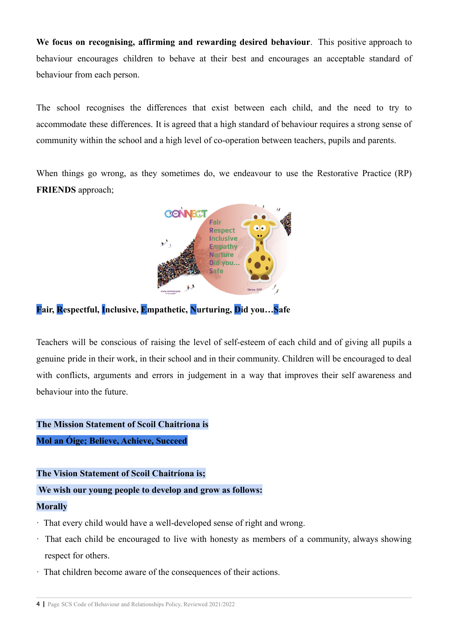**We focus on recognising, affirming and rewarding desired behaviour**. This positive approach to behaviour encourages children to behave at their best and encourages an acceptable standard of behaviour from each person.

The school recognises the differences that exist between each child, and the need to try to accommodate these differences. It is agreed that a high standard of behaviour requires a strong sense of community within the school and a high level of co-operation between teachers, pupils and parents.

When things go wrong, as they sometimes do, we endeavour to use the Restorative Practice (RP) **FRIENDS** approach;



## **Fair, Respectful, Inclusive, Empathetic, Nurturing, Did you…Safe**

Teachers will be conscious of raising the level of self-esteem of each child and of giving all pupils a genuine pride in their work, in their school and in their community. Children will be encouraged to deal with conflicts, arguments and errors in judgement in a way that improves their self awareness and behaviour into the future.

# **The Mission Statement of Scoil Chaitriona is**

## **Mol an Óige; Believe, Achieve, Succeed**

## **The Vision Statement of Scoil Chaitríona is;**

## **We wish our young people to develop and grow as follows:**

## **Morally**

- · That every child would have a well-developed sense of right and wrong.
- · That each child be encouraged to live with honesty as members of a community, always showing respect for others.
- · That children become aware of the consequences of their actions.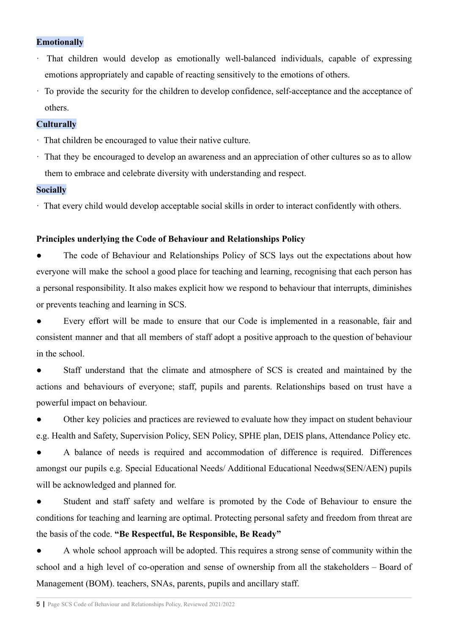## **Emotionally**

- That children would develop as emotionally well-balanced individuals, capable of expressing emotions appropriately and capable of reacting sensitively to the emotions of others.
- · To provide the security for the children to develop confidence, self-acceptance and the acceptance of others.

## **Culturally**

- · That children be encouraged to value their native culture.
- · That they be encouraged to develop an awareness and an appreciation of other cultures so as to allow them to embrace and celebrate diversity with understanding and respect.

## **Socially**

· That every child would develop acceptable social skills in order to interact confidently with others.

## **Principles underlying the Code of Behaviour and Relationships Policy**

• The code of Behaviour and Relationships Policy of SCS lays out the expectations about how everyone will make the school a good place for teaching and learning, recognising that each person has a personal responsibility. It also makes explicit how we respond to behaviour that interrupts, diminishes or prevents teaching and learning in SCS.

● Every effort will be made to ensure that our Code is implemented in a reasonable, fair and consistent manner and that all members of staff adopt a positive approach to the question of behaviour in the school.

Staff understand that the climate and atmosphere of SCS is created and maintained by the actions and behaviours of everyone; staff, pupils and parents. Relationships based on trust have a powerful impact on behaviour.

Other key policies and practices are reviewed to evaluate how they impact on student behaviour e.g. Health and Safety, Supervision Policy, SEN Policy, SPHE plan, DEIS plans, Attendance Policy etc.

A balance of needs is required and accommodation of difference is required. Differences amongst our pupils e.g. Special Educational Needs/ Additional Educational Needws(SEN/AEN) pupils will be acknowledged and planned for.

Student and staff safety and welfare is promoted by the Code of Behaviour to ensure the conditions for teaching and learning are optimal. Protecting personal safety and freedom from threat are the basis of the code. **"Be Respectful, Be Responsible, Be Ready"**

● A whole school approach will be adopted. This requires a strong sense of community within the school and a high level of co-operation and sense of ownership from all the stakeholders – Board of Management (BOM). teachers, SNAs, parents, pupils and ancillary staff.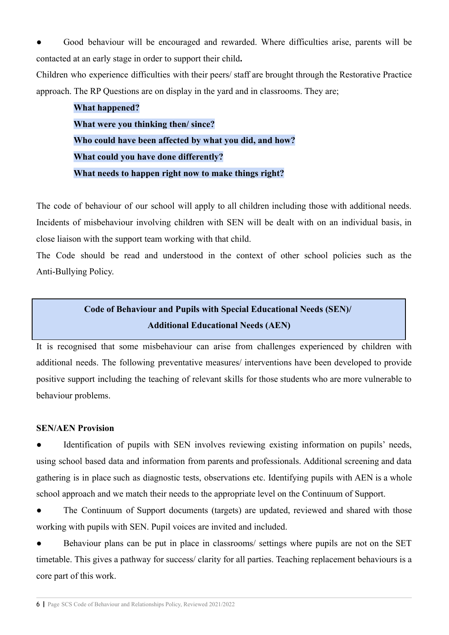Good behaviour will be encouraged and rewarded. Where difficulties arise, parents will be contacted at an early stage in order to support their child**.**

Children who experience difficulties with their peers/ staff are brought through the Restorative Practice approach. The RP Questions are on display in the yard and in classrooms. They are;

| <b>What happened?</b>                                  |
|--------------------------------------------------------|
| What were you thinking then/since?                     |
| Who could have been affected by what you did, and how? |
| What could you have done differently?                  |
| What needs to happen right now to make things right?   |

The code of behaviour of our school will apply to all children including those with additional needs. Incidents of misbehaviour involving children with SEN will be dealt with on an individual basis, in close liaison with the support team working with that child.

The Code should be read and understood in the context of other school policies such as the Anti-Bullying Policy.

# **Code of Behaviour and Pupils with Special Educational Needs (SEN)/ Additional Educational Needs (AEN)**

It is recognised that some misbehaviour can arise from challenges experienced by children with additional needs. The following preventative measures/ interventions have been developed to provide positive support including the teaching of relevant skills for those students who are more vulnerable to behaviour problems.

## **SEN/AEN Provision**

Identification of pupils with SEN involves reviewing existing information on pupils' needs, using school based data and information from parents and professionals. Additional screening and data gathering is in place such as diagnostic tests, observations etc. Identifying pupils with AEN is a whole school approach and we match their needs to the appropriate level on the Continuum of Support.

The Continuum of Support documents (targets) are updated, reviewed and shared with those working with pupils with SEN. Pupil voices are invited and included.

• Behaviour plans can be put in place in classrooms/ settings where pupils are not on the SET timetable. This gives a pathway for success/ clarity for all parties. Teaching replacement behaviours is a core part of this work.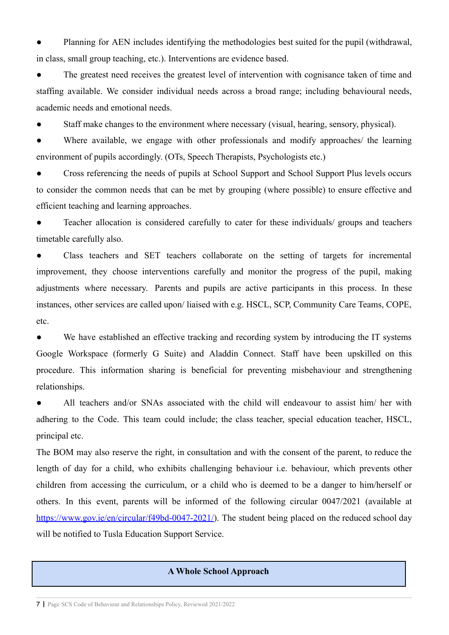Planning for AEN includes identifying the methodologies best suited for the pupil (withdrawal, in class, small group teaching, etc.). Interventions are evidence based.

• The greatest need receives the greatest level of intervention with cognisance taken of time and staffing available. We consider individual needs across a broad range; including behavioural needs, academic needs and emotional needs.

Staff make changes to the environment where necessary (visual, hearing, sensory, physical).

Where available, we engage with other professionals and modify approaches/ the learning environment of pupils accordingly. (OTs, Speech Therapists, Psychologists etc.)

Cross referencing the needs of pupils at School Support and School Support Plus levels occurs to consider the common needs that can be met by grouping (where possible) to ensure effective and efficient teaching and learning approaches.

Teacher allocation is considered carefully to cater for these individuals/ groups and teachers timetable carefully also.

Class teachers and SET teachers collaborate on the setting of targets for incremental improvement, they choose interventions carefully and monitor the progress of the pupil, making adjustments where necessary. Parents and pupils are active participants in this process. In these instances, other services are called upon/ liaised with e.g. HSCL, SCP, Community Care Teams, COPE, etc.

• We have established an effective tracking and recording system by introducing the IT systems Google Workspace (formerly G Suite) and Aladdin Connect. Staff have been upskilled on this procedure. This information sharing is beneficial for preventing misbehaviour and strengthening relationships.

All teachers and/or SNAs associated with the child will endeavour to assist him/ her with adhering to the Code. This team could include; the class teacher, special education teacher, HSCL, principal etc.

The BOM may also reserve the right, in consultation and with the consent of the parent, to reduce the length of day for a child, who exhibits challenging behaviour i.e. behaviour, which prevents other children from accessing the curriculum, or a child who is deemed to be a danger to him/herself or others. In this event, parents will be informed of the following circular 0047/2021 (available at [https://www.gov.ie/en/circular/f49bd-0047-2021/\)](https://www.gov.ie/en/circular/f49bd-0047-2021/). The student being placed on the reduced school day will be notified to Tusla Education Support Service.

## **A Whole School Approach**

7 **|** Page SCS Code of Behaviour and Relationships Policy, Reviewed 2021/2022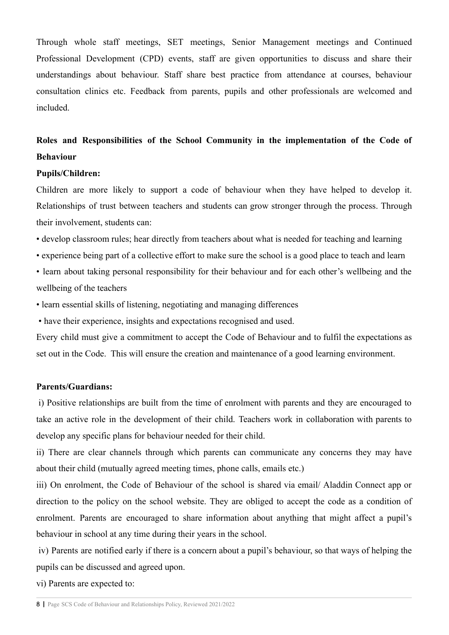Through whole staff meetings, SET meetings, Senior Management meetings and Continued Professional Development (CPD) events, staff are given opportunities to discuss and share their understandings about behaviour. Staff share best practice from attendance at courses, behaviour consultation clinics etc. Feedback from parents, pupils and other professionals are welcomed and included.

# **Roles and Responsibilities of the School Community in the implementation of the Code of Behaviour**

#### **Pupils/Children:**

Children are more likely to support a code of behaviour when they have helped to develop it. Relationships of trust between teachers and students can grow stronger through the process. Through their involvement, students can:

- develop classroom rules; hear directly from teachers about what is needed for teaching and learning
- experience being part of a collective effort to make sure the school is a good place to teach and learn
- learn about taking personal responsibility for their behaviour and for each other's wellbeing and the wellbeing of the teachers
- learn essential skills of listening, negotiating and managing differences
- have their experience, insights and expectations recognised and used.

Every child must give a commitment to accept the Code of Behaviour and to fulfil the expectations as set out in the Code. This will ensure the creation and maintenance of a good learning environment.

#### **Parents/Guardians:**

i) Positive relationships are built from the time of enrolment with parents and they are encouraged to take an active role in the development of their child. Teachers work in collaboration with parents to develop any specific plans for behaviour needed for their child.

ii) There are clear channels through which parents can communicate any concerns they may have about their child (mutually agreed meeting times, phone calls, emails etc.)

iii) On enrolment, the Code of Behaviour of the school is shared via email/ Aladdin Connect app or direction to the policy on the school website. They are obliged to accept the code as a condition of enrolment. Parents are encouraged to share information about anything that might affect a pupil's behaviour in school at any time during their years in the school.

iv) Parents are notified early if there is a concern about a pupil's behaviour, so that ways of helping the pupils can be discussed and agreed upon.

vi) Parents are expected to: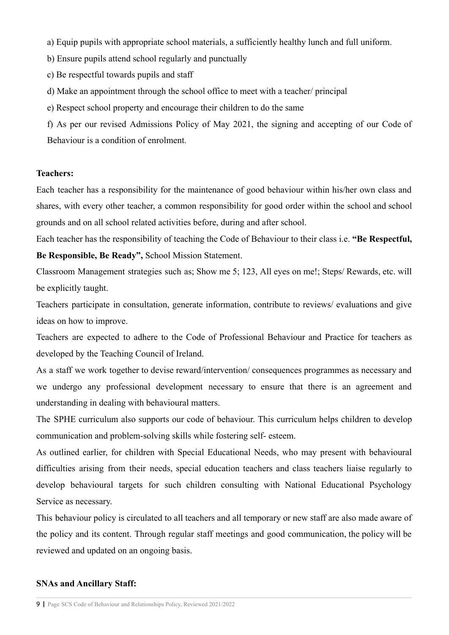a) Equip pupils with appropriate school materials, a sufficiently healthy lunch and full uniform.

b) Ensure pupils attend school regularly and punctually

c) Be respectful towards pupils and staff

d) Make an appointment through the school office to meet with a teacher/ principal

e) Respect school property and encourage their children to do the same

f) As per our revised Admissions Policy of May 2021, the signing and accepting of our Code of Behaviour is a condition of enrolment.

## **Teachers:**

Each teacher has a responsibility for the maintenance of good behaviour within his/her own class and shares, with every other teacher, a common responsibility for good order within the school and school grounds and on all school related activities before, during and after school.

Each teacher has the responsibility of teaching the Code of Behaviour to their class i.e. **"Be Respectful,**

**Be Responsible, Be Ready",** School Mission Statement.

Classroom Management strategies such as; Show me 5; 123, All eyes on me!; Steps/ Rewards, etc. will be explicitly taught.

Teachers participate in consultation, generate information, contribute to reviews/ evaluations and give ideas on how to improve.

Teachers are expected to adhere to the Code of Professional Behaviour and Practice for teachers as developed by the Teaching Council of Ireland.

As a staff we work together to devise reward/intervention/ consequences programmes as necessary and we undergo any professional development necessary to ensure that there is an agreement and understanding in dealing with behavioural matters.

The SPHE curriculum also supports our code of behaviour. This curriculum helps children to develop communication and problem-solving skills while fostering self- esteem.

As outlined earlier, for children with Special Educational Needs, who may present with behavioural difficulties arising from their needs, special education teachers and class teachers liaise regularly to develop behavioural targets for such children consulting with National Educational Psychology Service as necessary.

This behaviour policy is circulated to all teachers and all temporary or new staff are also made aware of the policy and its content. Through regular staff meetings and good communication, the policy will be reviewed and updated on an ongoing basis.

## **SNAs and Ancillary Staff:**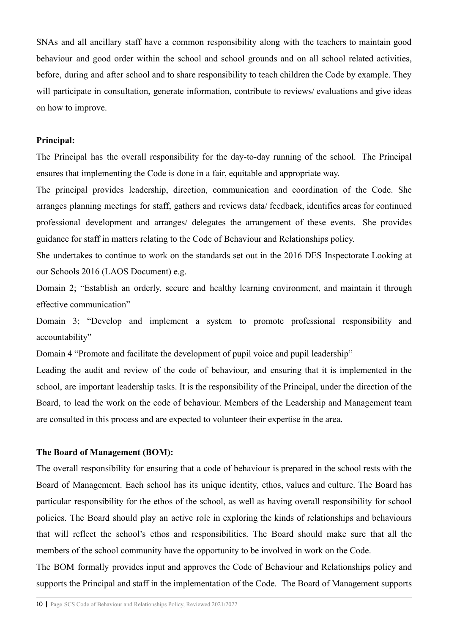SNAs and all ancillary staff have a common responsibility along with the teachers to maintain good behaviour and good order within the school and school grounds and on all school related activities, before, during and after school and to share responsibility to teach children the Code by example. They will participate in consultation, generate information, contribute to reviews/ evaluations and give ideas on how to improve.

#### **Principal:**

The Principal has the overall responsibility for the day-to-day running of the school. The Principal ensures that implementing the Code is done in a fair, equitable and appropriate way.

The principal provides leadership, direction, communication and coordination of the Code. She arranges planning meetings for staff, gathers and reviews data/ feedback, identifies areas for continued professional development and arranges/ delegates the arrangement of these events. She provides guidance for staff in matters relating to the Code of Behaviour and Relationships policy.

She undertakes to continue to work on the standards set out in the 2016 DES Inspectorate Looking at our Schools 2016 (LAOS Document) e.g.

Domain 2; "Establish an orderly, secure and healthy learning environment, and maintain it through effective communication"

Domain 3; "Develop and implement a system to promote professional responsibility and accountability"

Domain 4 "Promote and facilitate the development of pupil voice and pupil leadership"

Leading the audit and review of the code of behaviour, and ensuring that it is implemented in the school, are important leadership tasks. It is the responsibility of the Principal, under the direction of the Board, to lead the work on the code of behaviour. Members of the Leadership and Management team are consulted in this process and are expected to volunteer their expertise in the area.

#### **The Board of Management (BOM):**

The overall responsibility for ensuring that a code of behaviour is prepared in the school rests with the Board of Management. Each school has its unique identity, ethos, values and culture. The Board has particular responsibility for the ethos of the school, as well as having overall responsibility for school policies. The Board should play an active role in exploring the kinds of relationships and behaviours that will reflect the school's ethos and responsibilities. The Board should make sure that all the members of the school community have the opportunity to be involved in work on the Code.

The BOM formally provides input and approves the Code of Behaviour and Relationships policy and supports the Principal and staff in the implementation of the Code. The Board of Management supports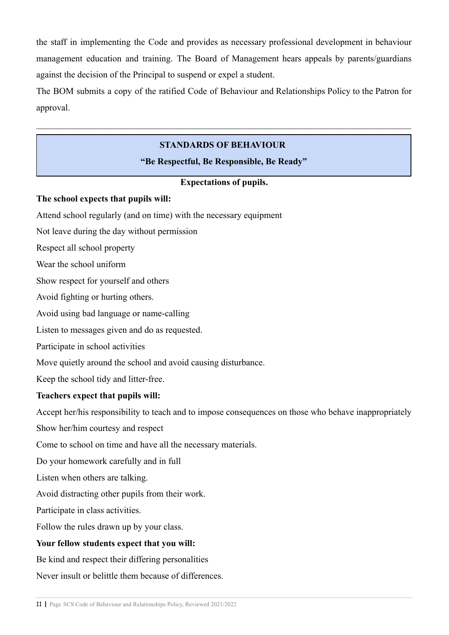the staff in implementing the Code and provides as necessary professional development in behaviour management education and training. The Board of Management hears appeals by parents/guardians against the decision of the Principal to suspend or expel a student.

The BOM submits a copy of the ratified Code of Behaviour and Relationships Policy to the Patron for approval.

 $\_$  , and the contribution of the contribution of the contribution of the contribution of  $\mathcal{L}_\text{max}$ 

## **STANDARDS OF BEHAVIOUR**

## **"Be Respectful, Be Responsible, Be Ready"**

## **Expectations of pupils.**

## **The school expects that pupils will:**

Attend school regularly (and on time) with the necessary equipment

Not leave during the day without permission

Respect all school property

Wear the school uniform

Show respect for yourself and others

Avoid fighting or hurting others.

Avoid using bad language or name-calling

Listen to messages given and do as requested.

Participate in school activities

Move quietly around the school and avoid causing disturbance.

Keep the school tidy and litter-free.

## **Teachers expect that pupils will:**

Accept her/his responsibility to teach and to impose consequences on those who behave inappropriately

Show her/him courtesy and respect

Come to school on time and have all the necessary materials.

Do your homework carefully and in full

Listen when others are talking.

Avoid distracting other pupils from their work.

Participate in class activities.

Follow the rules drawn up by your class.

## **Your fellow students expect that you will:**

Be kind and respect their differing personalities

Never insult or belittle them because of differences.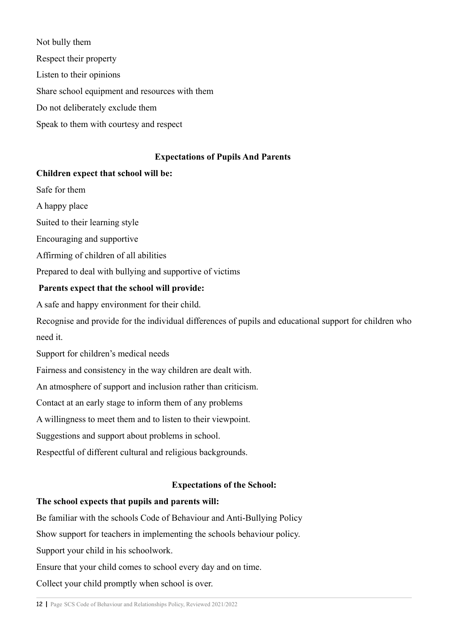Not bully them Respect their property Listen to their opinions Share school equipment and resources with them Do not deliberately exclude them Speak to them with courtesy and respect

## **Expectations of Pupils And Parents**

## **Children expect that school will be:**

Safe for them

A happy place

Suited to their learning style

Encouraging and supportive

Affirming of children of all abilities

Prepared to deal with bullying and supportive of victims

## **Parents expect that the school will provide:**

A safe and happy environment for their child.

Recognise and provide for the individual differences of pupils and educational support for children who need it.

Support for children's medical needs

Fairness and consistency in the way children are dealt with.

An atmosphere of support and inclusion rather than criticism.

Contact at an early stage to inform them of any problems

A willingness to meet them and to listen to their viewpoint.

Suggestions and support about problems in school.

Respectful of different cultural and religious backgrounds.

## **Expectations of the School:**

## **The school expects that pupils and parents will:**

Be familiar with the schools Code of Behaviour and Anti-Bullying Policy

Show support for teachers in implementing the schools behaviour policy.

Support your child in his schoolwork.

Ensure that your child comes to school every day and on time.

Collect your child promptly when school is over.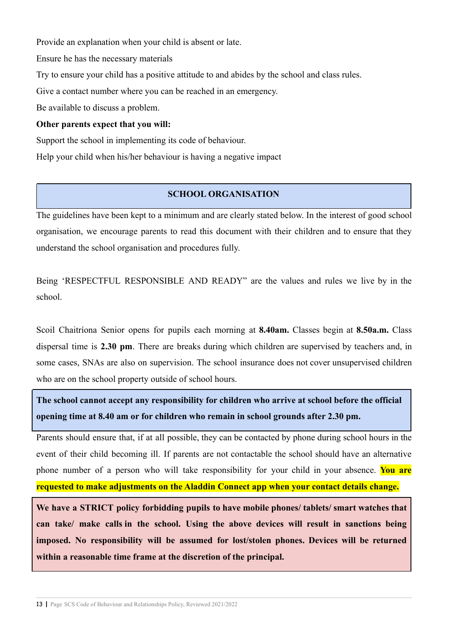Provide an explanation when your child is absent or late.

Ensure he has the necessary materials

Try to ensure your child has a positive attitude to and abides by the school and class rules.

Give a contact number where you can be reached in an emergency.

Be available to discuss a problem.

## **Other parents expect that you will:**

Support the school in implementing its code of behaviour.

Help your child when his/her behaviour is having a negative impact

## **SCHOOL ORGANISATION**

The guidelines have been kept to a minimum and are clearly stated below. In the interest of good school organisation, we encourage parents to read this document with their children and to ensure that they understand the school organisation and procedures fully.

Being 'RESPECTFUL RESPONSIBLE AND READY" are the values and rules we live by in the school.

Scoil Chaitríona Senior opens for pupils each morning at **8.40am.** Classes begin at **8.50a.m.** Class dispersal time is **2.30 pm**. There are breaks during which children are supervised by teachers and, in some cases, SNAs are also on supervision. The school insurance does not cover unsupervised children who are on the school property outside of school hours.

**The school cannot accept any responsibility for children who arrive at school before the official opening time at 8.40 am or for children who remain in school grounds after 2.30 pm.**

Parents should ensure that, if at all possible, they can be contacted by phone during school hours in the event of their child becoming ill. If parents are not contactable the school should have an alternative phone number of a person who will take responsibility for your child in your absence. **You are requested to make adjustments on the Aladdin Connect app when your contact details change.**

**We have a STRICT policy forbidding pupils to have mobile phones/ tablets/ smart watches that can take/ make calls in the school. Using the above devices will result in sanctions being imposed. No responsibility will be assumed for lost/stolen phones. Devices will be returned within a reasonable time frame at the discretion of the principal.**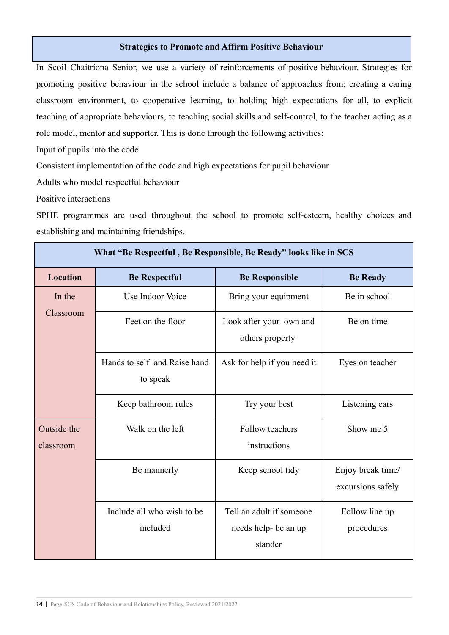#### **Strategies to Promote and Affirm Positive Behaviour**

In Scoil Chaitríona Senior, we use a variety of reinforcements of positive behaviour. Strategies for promoting positive behaviour in the school include a balance of approaches from; creating a caring classroom environment, to cooperative learning, to holding high expectations for all, to explicit teaching of appropriate behaviours, to teaching social skills and self-control, to the teacher acting as a role model, mentor and supporter. This is done through the following activities:

Input of pupils into the code

Consistent implementation of the code and high expectations for pupil behaviour

Adults who model respectful behaviour

Positive interactions

SPHE programmes are used throughout the school to promote self-esteem, healthy choices and establishing and maintaining friendships.

| What "Be Respectful, Be Responsible, Be Ready" looks like in SCS |                                          |                                                             |                                        |  |
|------------------------------------------------------------------|------------------------------------------|-------------------------------------------------------------|----------------------------------------|--|
| <b>Location</b>                                                  | <b>Be Respectful</b>                     | <b>Be Responsible</b>                                       | <b>Be Ready</b>                        |  |
| In the<br>Classroom                                              | Use Indoor Voice                         | Bring your equipment                                        | Be in school                           |  |
|                                                                  | Feet on the floor                        | Look after your own and<br>others property                  | Be on time                             |  |
|                                                                  | Hands to self and Raise hand<br>to speak | Ask for help if you need it                                 | Eyes on teacher                        |  |
|                                                                  | Keep bathroom rules                      | Try your best                                               | Listening ears                         |  |
| Outside the<br>classroom                                         | Walk on the left                         | Follow teachers<br>instructions                             | Show me 5                              |  |
|                                                                  | Be mannerly                              | Keep school tidy                                            | Enjoy break time/<br>excursions safely |  |
|                                                                  | Include all who wish to be<br>included   | Tell an adult if someone<br>needs help- be an up<br>stander | Follow line up<br>procedures           |  |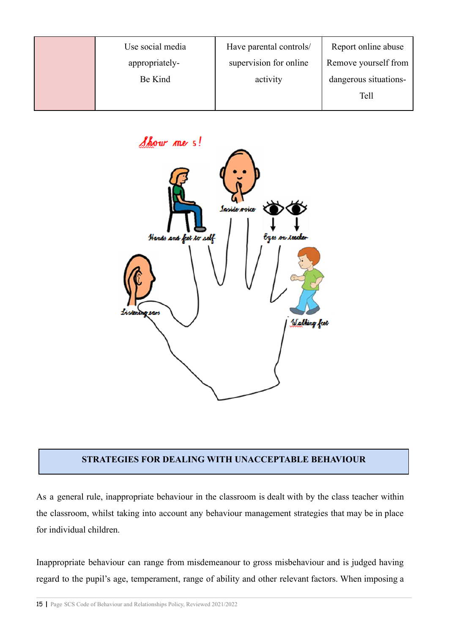| Use social media | Have parental controls/ | Report online abuse   |
|------------------|-------------------------|-----------------------|
| appropriately-   | supervision for online  | Remove yourself from  |
| Be Kind          | activity                | dangerous situations- |
|                  |                         | Tell                  |



## **STRATEGIES FOR DEALING WITH UNACCEPTABLE BEHAVIOUR**

As a general rule, inappropriate behaviour in the classroom is dealt with by the class teacher within the classroom, whilst taking into account any behaviour management strategies that may be in place for individual children.

Inappropriate behaviour can range from misdemeanour to gross misbehaviour and is judged having regard to the pupil's age, temperament, range of ability and other relevant factors. When imposing a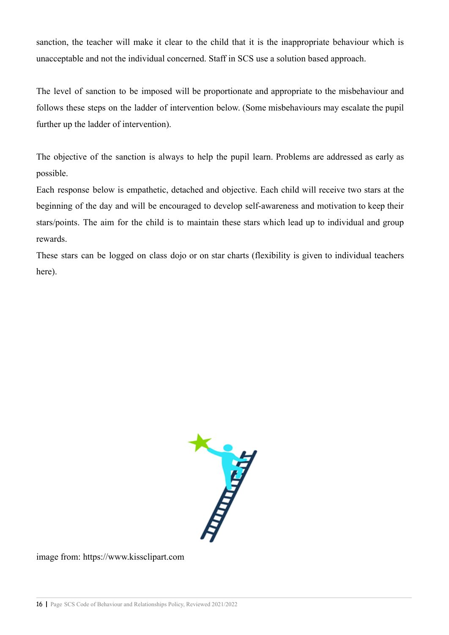sanction, the teacher will make it clear to the child that it is the inappropriate behaviour which is unacceptable and not the individual concerned. Staff in SCS use a solution based approach.

The level of sanction to be imposed will be proportionate and appropriate to the misbehaviour and follows these steps on the ladder of intervention below. (Some misbehaviours may escalate the pupil further up the ladder of intervention).

The objective of the sanction is always to help the pupil learn. Problems are addressed as early as possible.

Each response below is empathetic, detached and objective. Each child will receive two stars at the beginning of the day and will be encouraged to develop self-awareness and motivation to keep their stars/points. The aim for the child is to maintain these stars which lead up to individual and group rewards.

These stars can be logged on class dojo or on star charts (flexibility is given to individual teachers here).



image from: https://www.kissclipart.com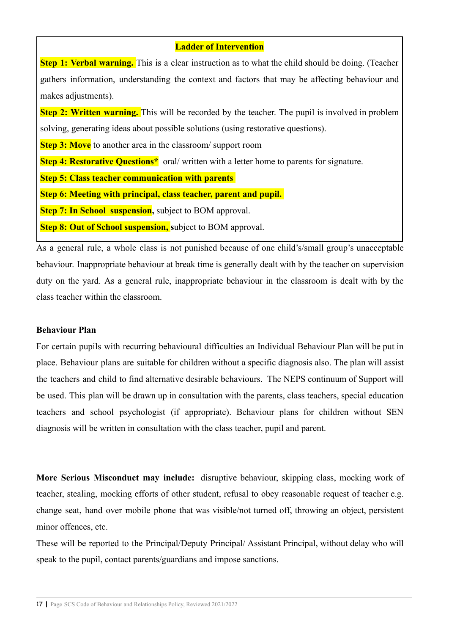## **Ladder of Intervention**

**Step 1: Verbal warning.** This is a clear instruction as to what the child should be doing. (Teacher gathers information, understanding the context and factors that may be affecting behaviour and makes adjustments).

**Step 2: Written warning.** This will be recorded by the teacher. The pupil is involved in problem solving, generating ideas about possible solutions (using restorative questions).

**Step 3: Move** to another area in the classroom/ support room

**Step 4: Restorative Questions**<sup>\*</sup> oral/ written with a letter home to parents for signature.

**Step 5: Class teacher communication with parents**

**Step 6: Meeting with principal, class teacher, parent and pupil.**

**Step 7: In School suspension,** subject to BOM approval.

**Step 8: Out of School suspension,** subject to BOM approval.

As a general rule, a whole class is not punished because of one child's/small group's unacceptable behaviour. Inappropriate behaviour at break time is generally dealt with by the teacher on supervision duty on the yard. As a general rule, inappropriate behaviour in the classroom is dealt with by the class teacher within the classroom.

#### **Behaviour Plan**

For certain pupils with recurring behavioural difficulties an Individual Behaviour Plan will be put in place. Behaviour plans are suitable for children without a specific diagnosis also. The plan will assist the teachers and child to find alternative desirable behaviours. The NEPS continuum of Support will be used. This plan will be drawn up in consultation with the parents, class teachers, special education teachers and school psychologist (if appropriate). Behaviour plans for children without SEN diagnosis will be written in consultation with the class teacher, pupil and parent.

**More Serious Misconduct may include:** disruptive behaviour, skipping class, mocking work of teacher, stealing, mocking efforts of other student, refusal to obey reasonable request of teacher e.g. change seat, hand over mobile phone that was visible/not turned off, throwing an object, persistent minor offences, etc.

These will be reported to the Principal/Deputy Principal/ Assistant Principal, without delay who will speak to the pupil, contact parents/guardians and impose sanctions.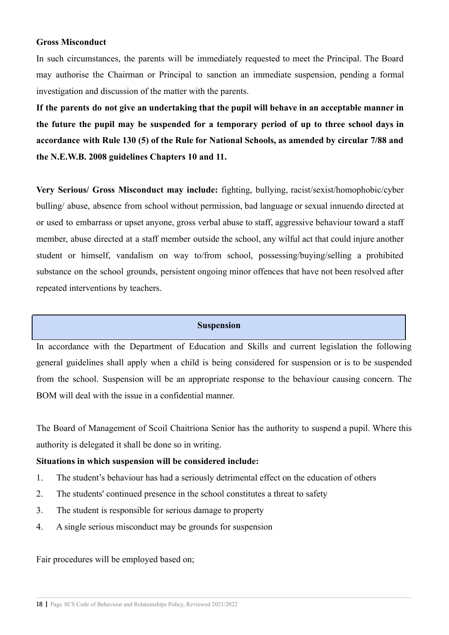#### **Gross Misconduct**

In such circumstances, the parents will be immediately requested to meet the Principal. The Board may authorise the Chairman or Principal to sanction an immediate suspension, pending a formal investigation and discussion of the matter with the parents.

**If the parents do not give an undertaking that the pupil will behave in an acceptable manner in the future the pupil may be suspended for a temporary period of up to three school days in accordance with Rule 130 (5) of the Rule for National Schools, as amended by circular 7/88 and the N.E.W.B. 2008 guidelines Chapters 10 and 11.**

**Very Serious/ Gross Misconduct may include:** fighting, bullying, racist/sexist/homophobic/cyber bulling/ abuse, absence from school without permission, bad language or sexual innuendo directed at or used to embarrass or upset anyone, gross verbal abuse to staff, aggressive behaviour toward a staff member, abuse directed at a staff member outside the school, any wilful act that could injure another student or himself, vandalism on way to/from school, possessing/buying/selling a prohibited substance on the school grounds, persistent ongoing minor offences that have not been resolved after repeated interventions by teachers.

#### **Suspension**

In accordance with the Department of Education and Skills and current legislation the following general guidelines shall apply when a child is being considered for suspension or is to be suspended from the school. Suspension will be an appropriate response to the behaviour causing concern. The BOM will deal with the issue in a confidential manner.

The Board of Management of Scoil Chaitríona Senior has the authority to suspend a pupil. Where this authority is delegated it shall be done so in writing.

#### **Situations in which suspension will be considered include:**

- 1. The student's behaviour has had a seriously detrimental effect on the education of others
- 2. The students' continued presence in the school constitutes a threat to safety
- 3. The student is responsible for serious damage to property
- 4. A single serious misconduct may be grounds for suspension

Fair procedures will be employed based on;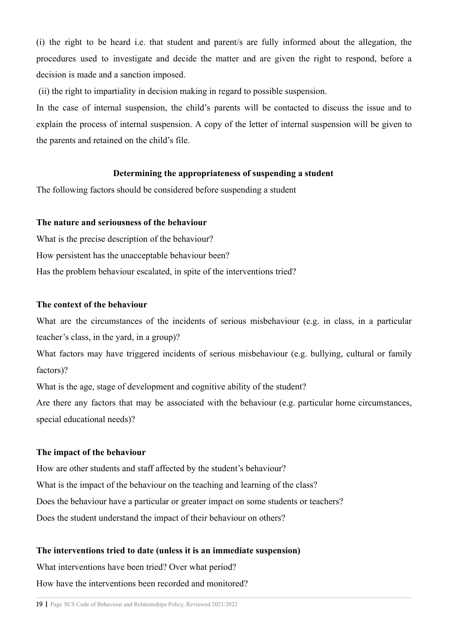(i) the right to be heard i.e. that student and parent/s are fully informed about the allegation, the procedures used to investigate and decide the matter and are given the right to respond, before a decision is made and a sanction imposed.

(ii) the right to impartiality in decision making in regard to possible suspension.

In the case of internal suspension, the child's parents will be contacted to discuss the issue and to explain the process of internal suspension. A copy of the letter of internal suspension will be given to the parents and retained on the child's file.

## **Determining the appropriateness of suspending a student**

The following factors should be considered before suspending a student

#### **The nature and seriousness of the behaviour**

What is the precise description of the behaviour? How persistent has the unacceptable behaviour been? Has the problem behaviour escalated, in spite of the interventions tried?

## **The context of the behaviour**

What are the circumstances of the incidents of serious misbehaviour (e.g. in class, in a particular teacher's class, in the yard, in a group)?

What factors may have triggered incidents of serious misbehaviour (e.g. bullying, cultural or family factors)?

What is the age, stage of development and cognitive ability of the student?

Are there any factors that may be associated with the behaviour (e.g. particular home circumstances, special educational needs)?

## **The impact of the behaviour**

How are other students and staff affected by the student's behaviour? What is the impact of the behaviour on the teaching and learning of the class? Does the behaviour have a particular or greater impact on some students or teachers? Does the student understand the impact of their behaviour on others?

## **The interventions tried to date (unless it is an immediate suspension)**

What interventions have been tried? Over what period?

How have the interventions been recorded and monitored?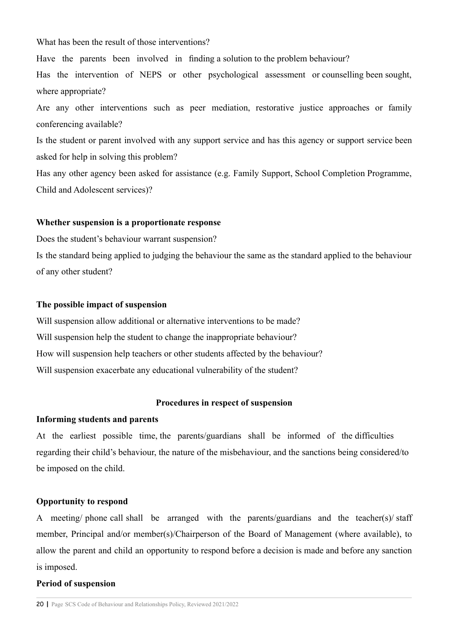What has been the result of those interventions?

Have the parents been involved in finding a solution to the problem behaviour?

Has the intervention of NEPS or other psychological assessment or counselling been sought, where appropriate?

Are any other interventions such as peer mediation, restorative justice approaches or family conferencing available?

Is the student or parent involved with any support service and has this agency or support service been asked for help in solving this problem?

Has any other agency been asked for assistance (e.g. Family Support, School Completion Programme, Child and Adolescent services)?

#### **Whether suspension is a proportionate response**

Does the student's behaviour warrant suspension?

Is the standard being applied to judging the behaviour the same as the standard applied to the behaviour of any other student?

#### **The possible impact of suspension**

Will suspension allow additional or alternative interventions to be made? Will suspension help the student to change the inappropriate behaviour? How will suspension help teachers or other students affected by the behaviour? Will suspension exacerbate any educational vulnerability of the student?

#### **Procedures in respect of suspension**

#### **Informing students and parents**

At the earliest possible time, the parents/guardians shall be informed of the difficulties regarding their child's behaviour, the nature of the misbehaviour, and the sanctions being considered/to be imposed on the child.

#### **Opportunity to respond**

A meeting/ phone call shall be arranged with the parents/guardians and the teacher(s)/ staff member, Principal and/or member(s)/Chairperson of the Board of Management (where available), to allow the parent and child an opportunity to respond before a decision is made and before any sanction is imposed.

#### **Period of suspension**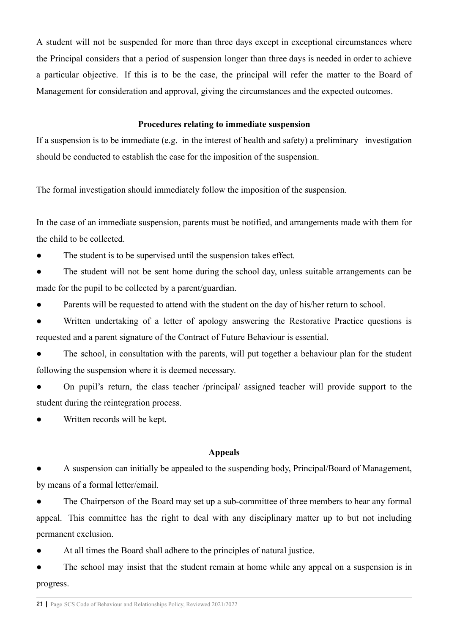A student will not be suspended for more than three days except in exceptional circumstances where the Principal considers that a period of suspension longer than three days is needed in order to achieve a particular objective. If this is to be the case, the principal will refer the matter to the Board of Management for consideration and approval, giving the circumstances and the expected outcomes.

#### **Procedures relating to immediate suspension**

If a suspension is to be immediate (e.g. in the interest of health and safety) a preliminary investigation should be conducted to establish the case for the imposition of the suspension.

The formal investigation should immediately follow the imposition of the suspension.

In the case of an immediate suspension, parents must be notified, and arrangements made with them for the child to be collected.

The student is to be supervised until the suspension takes effect.

The student will not be sent home during the school day, unless suitable arrangements can be made for the pupil to be collected by a parent/guardian.

Parents will be requested to attend with the student on the day of his/her return to school.

● Written undertaking of a letter of apology answering the Restorative Practice questions is requested and a parent signature of the Contract of Future Behaviour is essential.

The school, in consultation with the parents, will put together a behaviour plan for the student following the suspension where it is deemed necessary.

On pupil's return, the class teacher /principal/ assigned teacher will provide support to the student during the reintegration process.

Written records will be kept.

#### **Appeals**

A suspension can initially be appealed to the suspending body, Principal/Board of Management, by means of a formal letter/email.

The Chairperson of the Board may set up a sub-committee of three members to hear any formal appeal. This committee has the right to deal with any disciplinary matter up to but not including permanent exclusion.

At all times the Board shall adhere to the principles of natural justice.

• The school may insist that the student remain at home while any appeal on a suspension is in progress.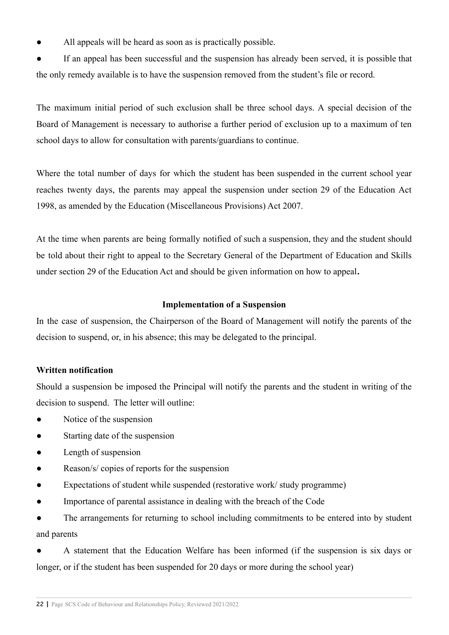All appeals will be heard as soon as is practically possible.

● If an appeal has been successful and the suspension has already been served, it is possible that the only remedy available is to have the suspension removed from the student's file or record.

The maximum initial period of such exclusion shall be three school days. A special decision of the Board of Management is necessary to authorise a further period of exclusion up to a maximum of ten school days to allow for consultation with parents/guardians to continue.

Where the total number of days for which the student has been suspended in the current school year reaches twenty days, the parents may appeal the suspension under section 29 of the Education Act 1998, as amended by the Education (Miscellaneous Provisions) Act 2007.

At the time when parents are being formally notified of such a suspension, they and the student should be told about their right to appeal to the Secretary General of the Department of Education and Skills under section 29 of the Education Act and should be given information on how to appeal**.**

## **Implementation of a Suspension**

In the case of suspension, the Chairperson of the Board of Management will notify the parents of the decision to suspend, or, in his absence; this may be delegated to the principal.

#### **Written notification**

Should a suspension be imposed the Principal will notify the parents and the student in writing of the decision to suspend. The letter will outline:

- Notice of the suspension
- Starting date of the suspension
- Length of suspension
- Reason/s/ copies of reports for the suspension
- Expectations of student while suspended (restorative work/ study programme)
- Importance of parental assistance in dealing with the breach of the Code

The arrangements for returning to school including commitments to be entered into by student and parents

A statement that the Education Welfare has been informed (if the suspension is six days or longer, or if the student has been suspended for 20 days or more during the school year)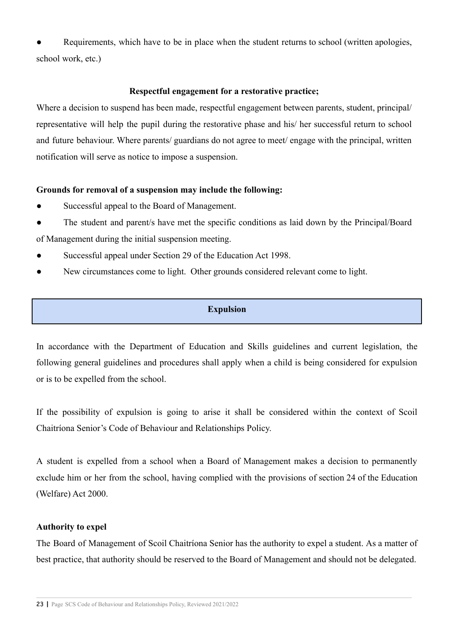Requirements, which have to be in place when the student returns to school (written apologies, school work, etc.)

## **Respectful engagement for a restorative practice;**

Where a decision to suspend has been made, respectful engagement between parents, student, principal/ representative will help the pupil during the restorative phase and his/ her successful return to school and future behaviour. Where parents/ guardians do not agree to meet/ engage with the principal, written notification will serve as notice to impose a suspension.

## **Grounds for removal of a suspension may include the following:**

- Successful appeal to the Board of Management.
- The student and parent/s have met the specific conditions as laid down by the Principal/Board of Management during the initial suspension meeting.
- Successful appeal under Section 29 of the Education Act 1998.
- New circumstances come to light. Other grounds considered relevant come to light.

## **Expulsion**

In accordance with the Department of Education and Skills guidelines and current legislation, the following general guidelines and procedures shall apply when a child is being considered for expulsion or is to be expelled from the school.

If the possibility of expulsion is going to arise it shall be considered within the context of Scoil Chaitríona Senior's Code of Behaviour and Relationships Policy.

A student is expelled from a school when a Board of Management makes a decision to permanently exclude him or her from the school, having complied with the provisions of section 24 of the Education (Welfare) Act 2000.

## **Authority to expel**

The Board of Management of Scoil Chaitríona Senior has the authority to expel a student. As a matter of best practice, that authority should be reserved to the Board of Management and should not be delegated.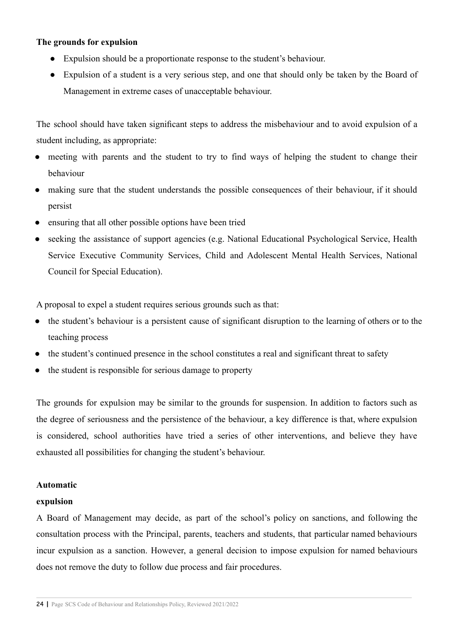## **The grounds for expulsion**

- Expulsion should be a proportionate response to the student's behaviour.
- Expulsion of a student is a very serious step, and one that should only be taken by the Board of Management in extreme cases of unacceptable behaviour.

The school should have taken significant steps to address the misbehaviour and to avoid expulsion of a student including, as appropriate:

- meeting with parents and the student to try to find ways of helping the student to change their behaviour
- making sure that the student understands the possible consequences of their behaviour, if it should persist
- ensuring that all other possible options have been tried
- seeking the assistance of support agencies (e.g. National Educational Psychological Service, Health Service Executive Community Services, Child and Adolescent Mental Health Services, National Council for Special Education).

A proposal to expel a student requires serious grounds such as that:

- the student's behaviour is a persistent cause of significant disruption to the learning of others or to the teaching process
- the student's continued presence in the school constitutes a real and significant threat to safety
- the student is responsible for serious damage to property

The grounds for expulsion may be similar to the grounds for suspension. In addition to factors such as the degree of seriousness and the persistence of the behaviour, a key difference is that, where expulsion is considered, school authorities have tried a series of other interventions, and believe they have exhausted all possibilities for changing the student's behaviour.

#### **Automatic**

#### **expulsion**

A Board of Management may decide, as part of the school's policy on sanctions, and following the consultation process with the Principal, parents, teachers and students, that particular named behaviours incur expulsion as a sanction. However, a general decision to impose expulsion for named behaviours does not remove the duty to follow due process and fair procedures.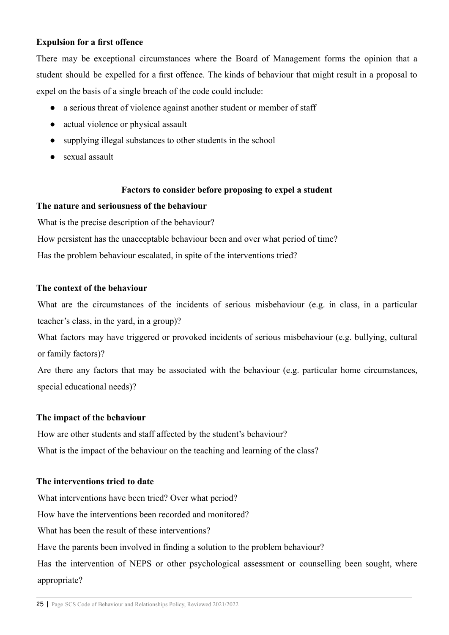## **Expulsion for a first offence**

There may be exceptional circumstances where the Board of Management forms the opinion that a student should be expelled for a first offence. The kinds of behaviour that might result in a proposal to expel on the basis of a single breach of the code could include:

- a serious threat of violence against another student or member of staff
- actual violence or physical assault
- supplying illegal substances to other students in the school
- sexual assault

## **Factors to consider before proposing to expel a student**

## **The nature and seriousness of the behaviour**

What is the precise description of the behaviour?

How persistent has the unacceptable behaviour been and over what period of time?

Has the problem behaviour escalated, in spite of the interventions tried?

## **The context of the behaviour**

What are the circumstances of the incidents of serious misbehaviour (e.g. in class, in a particular teacher's class, in the yard, in a group)?

What factors may have triggered or provoked incidents of serious misbehaviour (e.g. bullying, cultural or family factors)?

Are there any factors that may be associated with the behaviour (e.g. particular home circumstances, special educational needs)?

## **The impact of the behaviour**

How are other students and staff affected by the student's behaviour? What is the impact of the behaviour on the teaching and learning of the class?

## **The interventions tried to date**

What interventions have been tried? Over what period?

How have the interventions been recorded and monitored?

What has been the result of these interventions?

Have the parents been involved in finding a solution to the problem behaviour?

Has the intervention of NEPS or other psychological assessment or counselling been sought, where appropriate?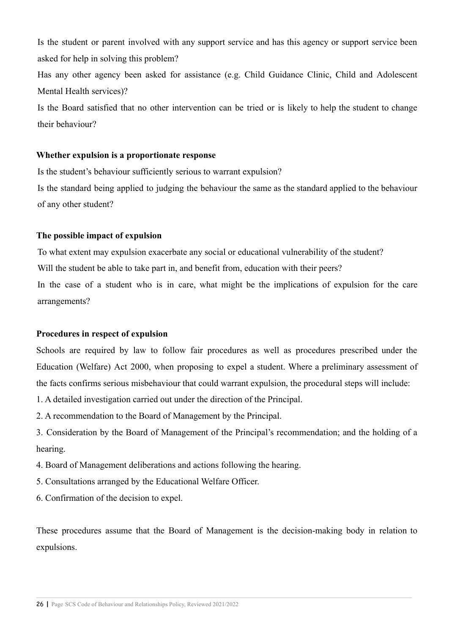Is the student or parent involved with any support service and has this agency or support service been asked for help in solving this problem?

Has any other agency been asked for assistance (e.g. Child Guidance Clinic, Child and Adolescent Mental Health services)?

Is the Board satisfied that no other intervention can be tried or is likely to help the student to change their behaviour?

#### **Whether expulsion is a proportionate response**

Is the student's behaviour sufficiently serious to warrant expulsion?

Is the standard being applied to judging the behaviour the same as the standard applied to the behaviour of any other student?

#### **The possible impact of expulsion**

To what extent may expulsion exacerbate any social or educational vulnerability of the student? Will the student be able to take part in, and benefit from, education with their peers? In the case of a student who is in care, what might be the implications of expulsion for the care arrangements?

#### **Procedures in respect of expulsion**

Schools are required by law to follow fair procedures as well as procedures prescribed under the Education (Welfare) Act 2000, when proposing to expel a student. Where a preliminary assessment of the facts confirms serious misbehaviour that could warrant expulsion, the procedural steps will include:

- 1. A detailed investigation carried out under the direction of the Principal.
- 2. A recommendation to the Board of Management by the Principal.
- 3. Consideration by the Board of Management of the Principal's recommendation; and the holding of a hearing.
- 4. Board of Management deliberations and actions following the hearing.
- 5. Consultations arranged by the Educational Welfare Officer.
- 6. Confirmation of the decision to expel.

These procedures assume that the Board of Management is the decision-making body in relation to expulsions.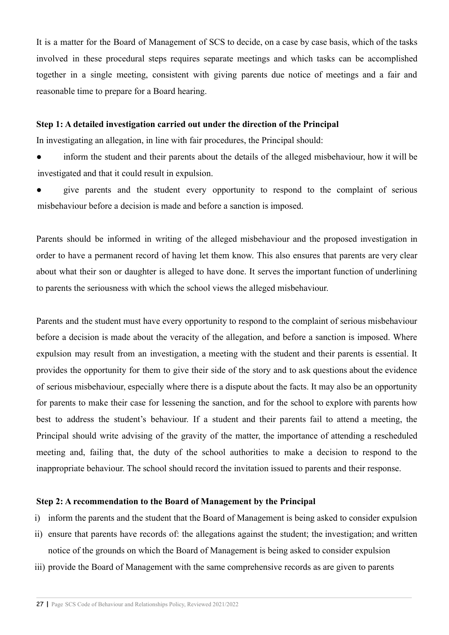It is a matter for the Board of Management of SCS to decide, on a case by case basis, which of the tasks involved in these procedural steps requires separate meetings and which tasks can be accomplished together in a single meeting, consistent with giving parents due notice of meetings and a fair and reasonable time to prepare for a Board hearing.

#### **Step 1: A detailed investigation carried out under the direction of the Principal**

In investigating an allegation, in line with fair procedures, the Principal should:

• inform the student and their parents about the details of the alleged misbehaviour, how it will be investigated and that it could result in expulsion.

give parents and the student every opportunity to respond to the complaint of serious misbehaviour before a decision is made and before a sanction is imposed.

Parents should be informed in writing of the alleged misbehaviour and the proposed investigation in order to have a permanent record of having let them know. This also ensures that parents are very clear about what their son or daughter is alleged to have done. It serves the important function of underlining to parents the seriousness with which the school views the alleged misbehaviour.

Parents and the student must have every opportunity to respond to the complaint of serious misbehaviour before a decision is made about the veracity of the allegation, and before a sanction is imposed. Where expulsion may result from an investigation, a meeting with the student and their parents is essential. It provides the opportunity for them to give their side of the story and to ask questions about the evidence of serious misbehaviour, especially where there is a dispute about the facts. It may also be an opportunity for parents to make their case for lessening the sanction, and for the school to explore with parents how best to address the student's behaviour. If a student and their parents fail to attend a meeting, the Principal should write advising of the gravity of the matter, the importance of attending a rescheduled meeting and, failing that, the duty of the school authorities to make a decision to respond to the inappropriate behaviour. The school should record the invitation issued to parents and their response.

#### **Step 2: A recommendation to the Board of Management by the Principal**

- i) inform the parents and the student that the Board of Management is being asked to consider expulsion
- ii) ensure that parents have records of: the allegations against the student; the investigation; and written notice of the grounds on which the Board of Management is being asked to consider expulsion
- iii) provide the Board of Management with the same comprehensive records as are given to parents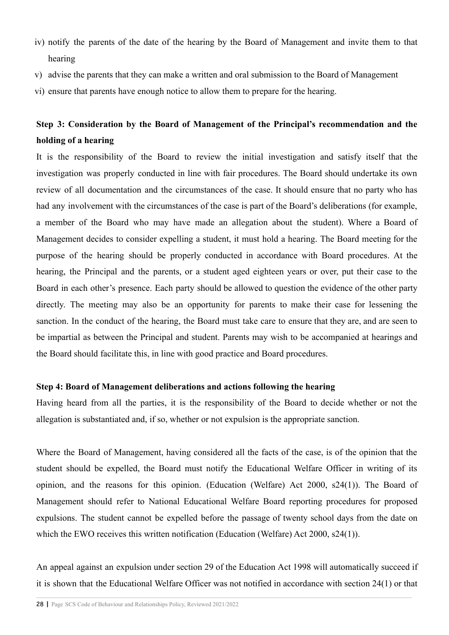- iv) notify the parents of the date of the hearing by the Board of Management and invite them to that hearing
- v) advise the parents that they can make a written and oral submission to the Board of Management
- vi) ensure that parents have enough notice to allow them to prepare for the hearing.

# **Step 3: Consideration by the Board of Management of the Principal's recommendation and the holding of a hearing**

It is the responsibility of the Board to review the initial investigation and satisfy itself that the investigation was properly conducted in line with fair procedures. The Board should undertake its own review of all documentation and the circumstances of the case. It should ensure that no party who has had any involvement with the circumstances of the case is part of the Board's deliberations (for example, a member of the Board who may have made an allegation about the student). Where a Board of Management decides to consider expelling a student, it must hold a hearing. The Board meeting for the purpose of the hearing should be properly conducted in accordance with Board procedures. At the hearing, the Principal and the parents, or a student aged eighteen years or over, put their case to the Board in each other's presence. Each party should be allowed to question the evidence of the other party directly. The meeting may also be an opportunity for parents to make their case for lessening the sanction. In the conduct of the hearing, the Board must take care to ensure that they are, and are seen to be impartial as between the Principal and student. Parents may wish to be accompanied at hearings and the Board should facilitate this, in line with good practice and Board procedures.

#### **Step 4: Board of Management deliberations and actions following the hearing**

Having heard from all the parties, it is the responsibility of the Board to decide whether or not the allegation is substantiated and, if so, whether or not expulsion is the appropriate sanction.

Where the Board of Management, having considered all the facts of the case, is of the opinion that the student should be expelled, the Board must notify the Educational Welfare Officer in writing of its opinion, and the reasons for this opinion. (Education (Welfare) Act 2000, s24(1)). The Board of Management should refer to National Educational Welfare Board reporting procedures for proposed expulsions. The student cannot be expelled before the passage of twenty school days from the date on which the EWO receives this written notification (Education (Welfare) Act 2000, s24(1)).

An appeal against an expulsion under section 29 of the Education Act 1998 will automatically succeed if it is shown that the Educational Welfare Officer was not notified in accordance with section 24(1) or that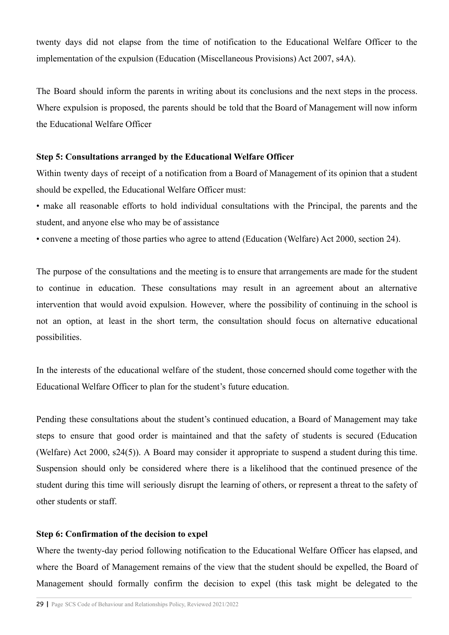twenty days did not elapse from the time of notification to the Educational Welfare Officer to the implementation of the expulsion (Education (Miscellaneous Provisions) Act 2007, s4A).

The Board should inform the parents in writing about its conclusions and the next steps in the process. Where expulsion is proposed, the parents should be told that the Board of Management will now inform the Educational Welfare Officer

#### **Step 5: Consultations arranged by the Educational Welfare Officer**

Within twenty days of receipt of a notification from a Board of Management of its opinion that a student should be expelled, the Educational Welfare Officer must:

- make all reasonable efforts to hold individual consultations with the Principal, the parents and the student, and anyone else who may be of assistance
- convene a meeting of those parties who agree to attend (Education (Welfare) Act 2000, section 24).

The purpose of the consultations and the meeting is to ensure that arrangements are made for the student to continue in education. These consultations may result in an agreement about an alternative intervention that would avoid expulsion. However, where the possibility of continuing in the school is not an option, at least in the short term, the consultation should focus on alternative educational possibilities.

In the interests of the educational welfare of the student, those concerned should come together with the Educational Welfare Officer to plan for the student's future education.

Pending these consultations about the student's continued education, a Board of Management may take steps to ensure that good order is maintained and that the safety of students is secured (Education (Welfare) Act 2000, s24(5)). A Board may consider it appropriate to suspend a student during this time. Suspension should only be considered where there is a likelihood that the continued presence of the student during this time will seriously disrupt the learning of others, or represent a threat to the safety of other students or staff.

## **Step 6: Confirmation of the decision to expel**

Where the twenty-day period following notification to the Educational Welfare Officer has elapsed, and where the Board of Management remains of the view that the student should be expelled, the Board of Management should formally confirm the decision to expel (this task might be delegated to the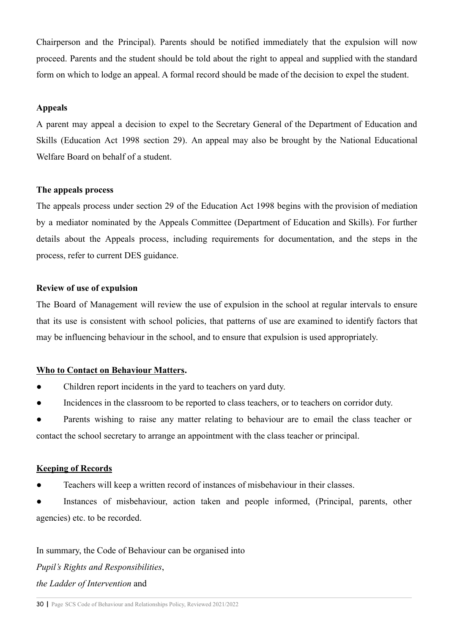Chairperson and the Principal). Parents should be notified immediately that the expulsion will now proceed. Parents and the student should be told about the right to appeal and supplied with the standard form on which to lodge an appeal. A formal record should be made of the decision to expel the student.

## **Appeals**

A parent may appeal a decision to expel to the Secretary General of the Department of Education and Skills (Education Act 1998 section 29). An appeal may also be brought by the National Educational Welfare Board on behalf of a student.

## **The appeals process**

The appeals process under section 29 of the Education Act 1998 begins with the provision of mediation by a mediator nominated by the Appeals Committee (Department of Education and Skills). For further details about the Appeals process, including requirements for documentation, and the steps in the process, refer to current DES guidance.

#### **Review of use of expulsion**

The Board of Management will review the use of expulsion in the school at regular intervals to ensure that its use is consistent with school policies, that patterns of use are examined to identify factors that may be influencing behaviour in the school, and to ensure that expulsion is used appropriately.

#### **Who to Contact on Behaviour Matters.**

- Children report incidents in the yard to teachers on yard duty.
- Incidences in the classroom to be reported to class teachers, or to teachers on corridor duty.

Parents wishing to raise any matter relating to behaviour are to email the class teacher or contact the school secretary to arrange an appointment with the class teacher or principal.

#### **Keeping of Records**

Teachers will keep a written record of instances of misbehaviour in their classes.

Instances of misbehaviour, action taken and people informed, (Principal, parents, other agencies) etc. to be recorded.

In summary, the Code of Behaviour can be organised into *Pupil's Rights and Responsibilities*, *the Ladder of Intervention* and